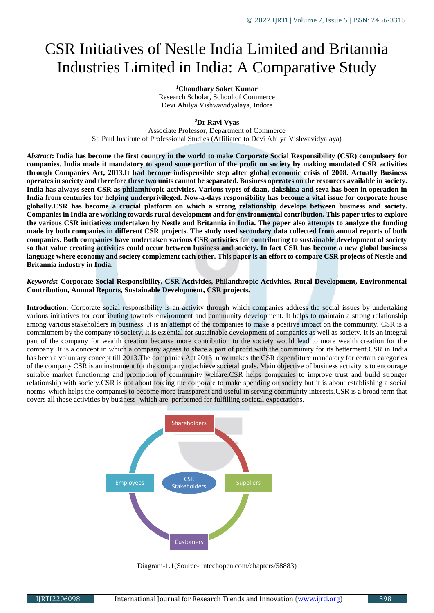# CSR Initiatives of Nestle India Limited and Britannia Industries Limited in India: A Comparative Study

**<sup>1</sup>Chaudhary Saket Kumar** Research Scholar, School of Commerce Devi Ahilya Vishwavidyalaya, Indore

#### **<sup>2</sup>Dr Ravi Vyas**

Associate Professor, Department of Commerce St. Paul Institute of Professional Studies (Affiliated to Devi Ahilya Vishwavidyalaya)

*Abstract***: India has become the first country in the world to make Corporate Social Responsibility (CSR) compulsory for companies. India made it mandatory to spend some portion of the profit on society by making mandated CSR activities through Companies Act, 2013.It had become indispensible step after global economic crisis of 2008. Actually Business operates in society and therefore these two units cannot be separated. Business operates on the resources available in society. India has always seen CSR as philanthropic activities. Various types of daan, dakshina and seva has been in operation in India from centuries for helping underprivileged. Now-a-days responsibility has become a vital issue for corporate house globally.CSR has become a crucial platform on which a strong relationship develops between business and society. Companies in India are working towards rural development and for environmental contribution. This paper tries to explore the various CSR initiatives undertaken by Nestle and Britannia in India. The paper also attempts to analyze the funding made by both companies in different CSR projects. The study used secondary data collected from annual reports of both companies. Both companies have undertaken various CSR activities for contributing to sustainable development of society so that value creating activities could occur between business and society. In fact CSR has become a new global business language where economy and society complement each other. This paper is an effort to compare CSR projects of Nestle and Britannia industry in India.**

*Keywords***: Corporate Social Responsibility, CSR Activities, Philanthropic Activities, Rural Development, Environmental Contribution, Annual Reports, Sustainable Development, CSR projects.**

**Introduction**: Corporate social responsibility is an activity through which companies address the social issues by undertaking various initiatives for contributing towards environment and community development. It helps to maintain a strong relationship among various stakeholders in business. It is an attempt of the companies to make a positive impact on the community. CSR is a commitment by the company to society. It is essential for sustainable development of companies as well as society. It is an integral part of the company for wealth creation because more contribution to the society would lead to more wealth creation for the company. It is a concept in which a company agrees to share a part of profit with the community for its betterment.CSR in India has been a voluntary concept till 2013.The companies Act 2013 now makes the CSR expenditure mandatory for certain categories of the company CSR is an instrument for the company to achieve societal goals. Main objective of business activity is to encourage suitable market functioning and promotion of community welfare.CSR helps companies to improve trust and build stronger relationship with society.CSR is not about forcing the corporate to make spending on society but it is about establishing a social norms which helps the companies to become more transparent and useful in serving community interests.CSR is a broad term that covers all those activities by business which are performed for fulfilling societal expectations.



Diagram-1.1(Source- intechopen.com/chapters/58883)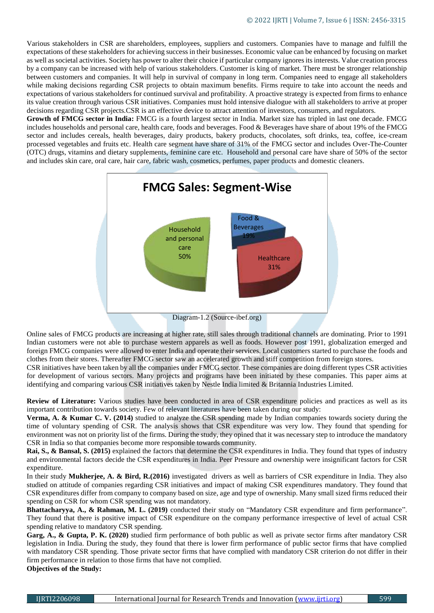Various stakeholders in CSR are shareholders, employees, suppliers and customers. Companies have to manage and fulfill the expectations of these stakeholders for achieving success in their businesses. Economic value can be enhanced by focusing on market as well as societal activities. Society has power to alter their choice if particular company ignores its interests. Value creation process by a company can be increased with help of various stakeholders. Customer is king of market. There must be stronger relationship between customers and companies. It will help in survival of company in long term. Companies need to engage all stakeholders while making decisions regarding CSR projects to obtain maximum benefits. Firms require to take into account the needs and expectations of various stakeholders for continued survival and profitability. A proactive strategy is expected from firms to enhance its value creation through various CSR initiatives. Companies must hold intensive dialogue with all stakeholders to arrive at proper decisions regarding CSR projects.CSR is an effective device to attract attention of investors, consumers, and regulators.

**Growth of FMCG sector in India:** FMCG is a fourth largest sector in India. Market size has tripled in last one decade. FMCG includes households and personal care, health care, foods and beverages. Food & Beverages have share of about 19% of the FMCG sector and includes cereals, health beverages, dairy products, bakery products, chocolates, soft drinks, tea, coffee, ice-cream processed vegetables and fruits etc. Health care segment have share of 31% of the FMCG sector and includes Over-The-Counter (OTC) drugs, vitamins and dietary supplements, feminine care etc. Household and personal care have share of 50% of the sector and includes skin care, oral care, hair care, fabric wash, cosmetics, perfumes, paper products and domestic cleaners.



Online sales of FMCG products are increasing at higher rate, still sales through traditional channels are dominating. Prior to 1991 Indian customers were not able to purchase western apparels as well as foods. However post 1991, globalization emerged and foreign FMCG companies were allowed to enter India and operate their services. Local customers started to purchase the foods and clothes from their stores. Thereafter FMCG sector saw an accelerated growth and stiff competition from foreign stores.

CSR initiatives have been taken by all the companies under FMCG sector. These companies are doing different types CSR activities for development of various sectors. Many projects and programs have been initiated by these companies. This paper aims at identifying and comparing various CSR initiatives taken by Nestle India limited & Britannia Industries Limited.

**Review of Literature:** Various studies have been conducted in area of CSR expenditure policies and practices as well as its important contribution towards society. Few of relevant literatures have been taken during our study:

**Verma, A. & Kumar C. V. (2014)** studied to analyze the CSR spending made by Indian companies towards society during the time of voluntary spending of CSR. The analysis shows that CSR expenditure was very low. They found that spending for environment was not on priority list of the firms. During the study, they opined that it was necessary step to introduce the mandatory CSR in India so that companies become more responsible towards community.

**Rai, S., & Bansal, S. (2015)** explained the factors that determine the CSR expenditures in India. They found that types of industry and environmental factors decide the CSR expenditures in India. Peer Pressure and ownership were insignificant factors for CSR expenditure.

In their study **Mukherjee, A. & Bird, R.(2016)** investigated drivers as well as barriers of CSR expenditure in India. They also studied on attitude of companies regarding CSR initiatives and impact of making CSR expenditures mandatory. They found that CSR expenditures differ from company to company based on size, age and type of ownership. Many small sized firms reduced their spending on CSR for whom CSR spending was not mandatory.

**Bhattacharyya, A., & Rahman, M. L. (2019)** conducted their study on "Mandatory CSR expenditure and firm performance". They found that there is positive impact of CSR expenditure on the company performance irrespective of level of actual CSR spending relative to mandatory CSR spending.

**Garg, A., & Gupta, P. K. (2020)** studied firm performance of both public as well as private sector firms after mandatory CSR legislation in India. During the study, they found that there is lower firm performance of public sector firms that have complied with mandatory CSR spending. Those private sector firms that have complied with mandatory CSR criterion do not differ in their firm performance in relation to those firms that have not complied.

**Objectives of the Study:**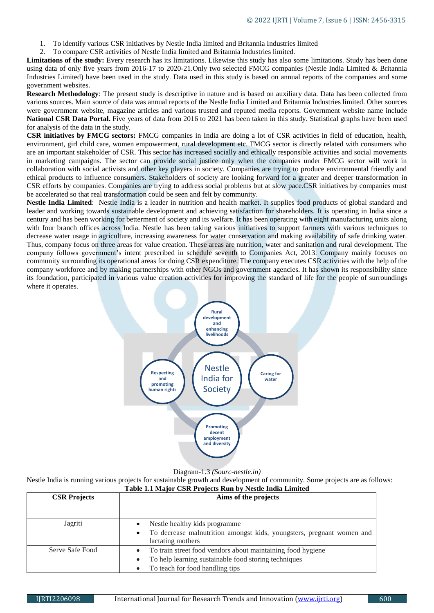- 1. To identify various CSR initiatives by Nestle India limited and Britannia Industries limited
- 2. To compare CSR activities of Nestle India limited and Britannia Industries limited.

**Limitations of the study:** Every research has its limitations. Likewise this study has also some limitations. Study has been done using data of only five years from 2016-17 to 2020-21.Only two selected FMCG companies (Nestle India Limited & Britannia Industries Limited) have been used in the study. Data used in this study is based on annual reports of the companies and some government websites.

**Research Methodology**: The present study is descriptive in nature and is based on auxiliary data. Data has been collected from various sources. Main source of data was annual reports of the Nestle India Limited and Britannia Industries limited. Other sources were government website, magazine articles and various trusted and reputed media reports. Government website name include **National CSR Data Portal.** Five years of data from 2016 to 2021 has been taken in this study. Statistical graphs have been used for analysis of the data in the study.

**CSR initiatives by FMCG sectors:** FMCG companies in India are doing a lot of CSR activities in field of education, health, environment, girl child care, women empowerment, rural development etc. FMCG sector is directly related with consumers who are an important stakeholder of CSR. This sector has increased socially and ethically responsible activities and social movements in marketing campaigns. The sector can provide social justice only when the companies under FMCG sector will work in collaboration with social activists and other key players in society. Companies are trying to produce environmental friendly and ethical products to influence consumers. Stakeholders of society are looking forward for a greater and deeper transformation in CSR efforts by companies. Companies are trying to address social problems but at slow pace.CSR initiatives by companies must be accelerated so that real transformation could be seen and felt by community.

**Nestle India Limited**: Nestle India is a leader in nutrition and health market. It supplies food products of global standard and leader and working towards sustainable development and achieving satisfaction for shareholders. It is operating in India since a century and has been working for betterment of society and its welfare. It has been operating with eight manufacturing units along with four branch offices across India. Nestle has been taking various initiatives to support farmers with various techniques to decrease water usage in agriculture, increasing awareness for water conservation and making availability of safe drinking water. Thus, company focus on three areas for value creation. These areas are nutrition, water and sanitation and rural development. The company follows government's intent prescribed in schedule seventh to Companies Act, 2013. Company mainly focuses on community surrounding its operational areas for doing CSR expenditure. The company executes CSR activities with the help of the company workforce and by making partnerships with other NGOs and government agencies. It has shown its responsibility since its foundation, participated in various value creation activities for improving the standard of life for the people of surroundings where it operates.



Diagram-1.3 *(Sourc-nestle.in)*

Nestle India is running various projects for sustainable growth and development of community. Some projects are as follows: **Table 1.1 Major CSR Projects Run by Nestle India Limited**

| <b>CSR Projects</b> | Aims of the projects                                                                                                                                                             |
|---------------------|----------------------------------------------------------------------------------------------------------------------------------------------------------------------------------|
| Jagriti             | Nestle healthy kids programme<br>To decrease malnutrition amongst kids, youngsters, pregnant women and<br>$\bullet$<br>lactating mothers                                         |
| Serve Safe Food     | To train street food vendors about maintaining food hygiene<br>$\bullet$<br>To help learning sustainable food storing techniques<br>$\bullet$<br>To teach for food handling tips |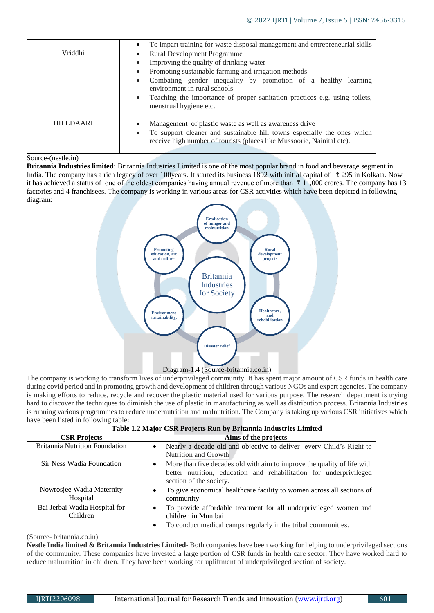|                  | To impart training for waste disposal management and entrepreneurial skills<br>$\bullet$                                                                                                                                                                                                                                                                                                                 |
|------------------|----------------------------------------------------------------------------------------------------------------------------------------------------------------------------------------------------------------------------------------------------------------------------------------------------------------------------------------------------------------------------------------------------------|
| Vriddhi          | <b>Rural Development Programme</b><br>$\bullet$<br>Improving the quality of drinking water<br>٠<br>Promoting sustainable farming and irrigation methods<br>$\bullet$<br>Combating gender inequality by promotion of a healthy learning<br>$\bullet$<br>environment in rural schools<br>Teaching the importance of proper sanitation practices e.g. using toilets,<br>$\bullet$<br>menstrual hygiene etc. |
| <b>HILLDAARI</b> | Management of plastic waste as well as awareness drive<br>To support cleaner and sustainable hill towns especially the ones which<br>$\bullet$<br>receive high number of tourists (places like Mussoorie, Nainital etc).                                                                                                                                                                                 |

## Source-(nestle.in)

**Britannia Industries limited**: Britannia Industries Limited is one of the most popular brand in food and beverage segment in India. The company has a rich legacy of over 100years. It started its business 1892 with initial capital of ₹ 295 in Kolkata. Now it has achieved a status of one of the oldest companies having annual revenue of more than ₹ 11,000 crores. The company has 13 factories and 4 franchisees. The company is working in various areas for CSR activities which have been depicted in following diagram:



## Diagram-1.4 (Source-britannia.co.in)

The company is working to transform lives of underprivileged community. It has spent major amount of CSR funds in health care during covid period and in promoting growth and development of children through various NGOs and expert agencies. The company is making efforts to reduce, recycle and recover the plastic material used for various purpose. The research department is trying hard to discover the techniques to diminish the use of plastic in manufacturing as well as distribution process. Britannia Industries is running various programmes to reduce undernutrition and malnutrition. The Company is taking up various CSR initiatives which have been listed in following table:

|  |  |  |  | Table 1.2 Major CSR Projects Run by Britannia Industries Limited |  |
|--|--|--|--|------------------------------------------------------------------|--|
|--|--|--|--|------------------------------------------------------------------|--|

| <b>CSR Projects</b>                       | Aims of the projects                                                                                                                                                                  |
|-------------------------------------------|---------------------------------------------------------------------------------------------------------------------------------------------------------------------------------------|
| <b>Britannia Nutrition Foundation</b>     | Nearly a decade old and objective to deliver every Child's Right to<br>$\bullet$<br>Nutrition and Growth                                                                              |
| Sir Ness Wadia Foundation                 | More than five decades old with aim to improve the quality of life with<br>$\bullet$<br>better nutrition, education and rehabilitation for underprivileged<br>section of the society. |
| Nowrosjee Wadia Maternity<br>Hospital     | To give economical healthcare facility to women across all sections of<br>community                                                                                                   |
| Bai Jerbai Wadia Hospital for<br>Children | To provide affordable treatment for all underprivileged women and<br>$\bullet$<br>children in Mumbai<br>To conduct medical camps regularly in the tribal communities.<br>$\bullet$    |

(Source- britannia.co.in)

**Nestle India limited & Britannia Industries Limited-** Both companies have been working for helping to underprivileged sections of the community. These companies have invested a large portion of CSR funds in health care sector. They have worked hard to reduce malnutrition in children. They have been working for upliftment of underprivileged section of society.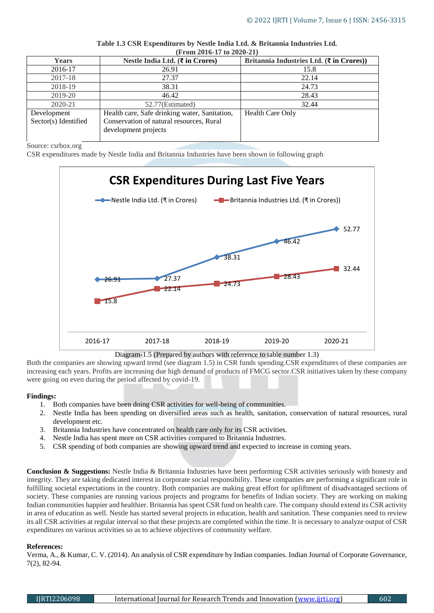| (From 2010-1/10 2020-21) |                                               |                                                            |  |  |  |
|--------------------------|-----------------------------------------------|------------------------------------------------------------|--|--|--|
| <b>Years</b>             | Nestle India Ltd. $(\bar{\tau}$ in Crores)    | Britannia Industries Ltd. $(\bar{\mathbf{\xi}}$ in Crores) |  |  |  |
| 2016-17                  | 26.91                                         | 15.8                                                       |  |  |  |
| 2017-18                  | 27.37                                         | 22.14                                                      |  |  |  |
| 2018-19                  | 38.31                                         | 24.73                                                      |  |  |  |
| 2019-20                  | 46.42                                         | 28.43                                                      |  |  |  |
| 2020-21                  | 52.77(Estimated)                              | 32.44                                                      |  |  |  |
| Development              | Health care, Safe drinking water, Sanitation, | Health Care Only                                           |  |  |  |
| Sector(s) Identified     | Conservation of natural resources, Rural      |                                                            |  |  |  |
|                          | development projects                          |                                                            |  |  |  |
|                          |                                               |                                                            |  |  |  |

| Table 1.3 CSR Expenditures by Nestle India Ltd. & Britannia Industries Ltd. |  |  |  |  |
|-----------------------------------------------------------------------------|--|--|--|--|
| $($ From 2016-17 to 2020-21 $)$                                             |  |  |  |  |

### Source: csrbox.org

CSR expenditures made by Nestle India and Britannia Industries have been shown in following graph



## Diagram-1.5 (Prepared by authors with reference to table number 1.3)

Both the companies are showing upward trend (see diagram 1.5) in CSR funds spending.CSR expenditures of these companies are increasing each years. Profits are increasing due high demand of products of FMCG sector.CSR initiatives taken by these company were going on even during the period affected by covid-19.

## **Findings:**

- 1. Both companies have been doing CSR activities for well-being of communities.
- 2. Nestle India has been spending on diversified areas such as health, sanitation, conservation of natural resources, rural development etc.
- 3. Britannia Industries have concentrated on health care only for its CSR activities.
- 4. Nestle India has spent more on CSR activities compared to Britannia Industries.
- 5. CSR spending of both companies are showing upward trend and expected to increase in coming years.

**Conclusion & Suggestions:** Nestle India & Britannia Industries have been performing CSR activities seriously with honesty and integrity. They are taking dedicated interest in corporate social responsibility. These companies are performing a significant role in fulfilling societal expectations in the country. Both companies are making great effort for upliftment of disadvantaged sections of society. These companies are running various projects and programs for benefits of Indian society. They are working on making Indian communities happier and healthier. Britannia has spent CSR fund on health care. The company should extend its CSR activity in area of education as well. Nestle has started several projects in education, health and sanitation. These companies need to review its all CSR activities at regular interval so that these projects are completed within the time. It is necessary to analyze output of CSR expenditures on various activities so as to achieve objectives of community welfare.

## **References:**

Verma, A., & Kumar, C. V. (2014). An analysis of CSR expenditure by Indian companies. Indian Journal of Corporate Governance, 7(2), 82-94.

| IIRTI2206098<br>International Journal for Research Trends and Innovation (www.ijrti.org) | 602 |
|------------------------------------------------------------------------------------------|-----|
|------------------------------------------------------------------------------------------|-----|